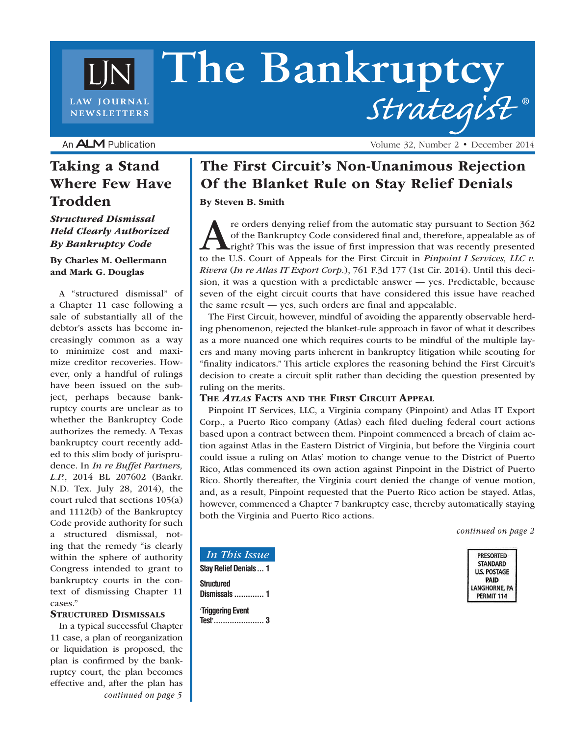# **The Bankruptcy** *Strategist* **® LAW JOURNAL NEWSLETTERS**

An **ALM** Publication

### Taking a Stand Where Few Have Trodden

### *Structured Dismissal Held Clearly Authorized By Bankruptcy Code*

#### By Charles M. Oellermann and Mark G. Douglas

A "structured dismissal" of a Chapter 11 case following a sale of substantially all of the debtor's assets has become increasingly common as a way to minimize cost and maximize creditor recoveries. However, only a handful of rulings have been issued on the subject, perhaps because bankruptcy courts are unclear as to whether the Bankruptcy Code authorizes the remedy. A Texas bankruptcy court recently added to this slim body of jurisprudence. In *In re Buffet Partners, L.P.*, 2014 BL 207602 (Bankr. N.D. Tex. July 28, 2014), the court ruled that sections 105(a) and 1112(b) of the Bankruptcy Code provide authority for such a structured dismissal, noting that the remedy "is clearly within the sphere of authority Congress intended to grant to bankruptcy courts in the context of dismissing Chapter 11 cases."

#### STRUCTURED DISMISSALS

In a typical successful Chapter 11 case, a plan of reorganization or liquidation is proposed, the plan is confirmed by the bankruptcy court, the plan becomes effective and, after the plan has *continued on page 5*

# The First Circuit's Non-Unanimous Rejection Of the Blanket Rule on Stay Relief Denials

Volume 32, Number 2 • December 2014

By Steven B. Smith

re orders denying relief from the automatic stay pursuant to Section 362 of the Bankruptcy Code considered final and, therefore, appealable as of right? This was the issue of first impression that was recently presented to the U.S. Court of Appeals for the First Circuit in *Pinpoint I Services, LLC v. Rivera* (*In re Atlas IT Export Corp.*), 761 F.3d 177 (1st Cir. 2014). Until this decision, it was a question with a predictable answer — yes. Predictable, because seven of the eight circuit courts that have considered this issue have reached the same result — yes, such orders are final and appealable.

The First Circuit, however, mindful of avoiding the apparently observable herding phenomenon, rejected the blanket-rule approach in favor of what it describes as a more nuanced one which requires courts to be mindful of the multiple layers and many moving parts inherent in bankruptcy litigation while scouting for "finality indicators." This article explores the reasoning behind the First Circuit's decision to create a circuit split rather than deciding the question presented by ruling on the merits.

### The *Atlas* Facts and the First Circuit Appeal

Pinpoint IT Services, LLC, a Virginia company (Pinpoint) and Atlas IT Export Corp., a Puerto Rico company (Atlas) each filed dueling federal court actions based upon a contract between them. Pinpoint commenced a breach of claim action against Atlas in the Eastern District of Virginia, but before the Virginia court could issue a ruling on Atlas' motion to change venue to the District of Puerto Rico, Atlas commenced its own action against Pinpoint in the District of Puerto Rico. Shortly thereafter, the Virginia court denied the change of venue motion, and, as a result, Pinpoint requested that the Puerto Rico action be stayed. Atlas, however, commenced a Chapter 7 bankruptcy case, thereby automatically staying both the Virginia and Puerto Rico actions.

*continued on page 2*



### *In This Issue*

**Stay Relief Denials... 1 Structured Dismissals ............. 1**

'**Triggering Event Test**'**...................... 3**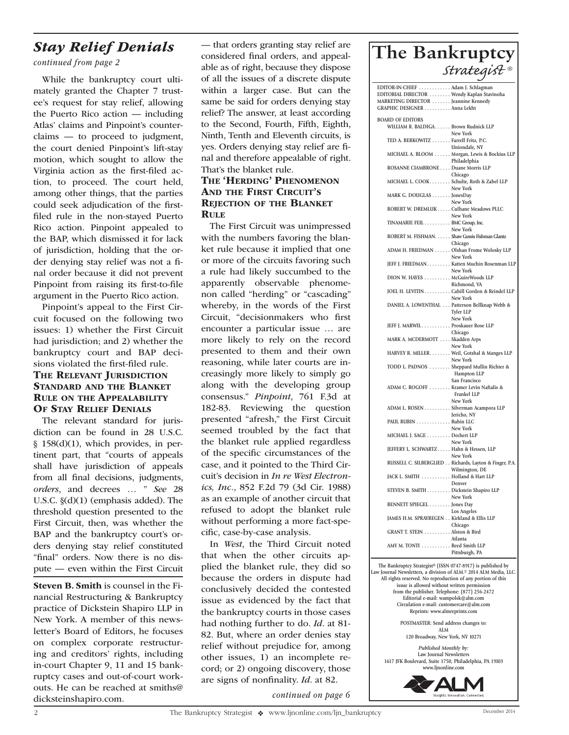# *Stay Relief Denials*

### *continued from page 2*

While the bankruptcy court ultimately granted the Chapter 7 trustee's request for stay relief, allowing the Puerto Rico action — including Atlas' claims and Pinpoint's counterclaims — to proceed to judgment, the court denied Pinpoint's lift-stay motion, which sought to allow the Virginia action as the first-filed action, to proceed. The court held, among other things, that the parties could seek adjudication of the firstfiled rule in the non-stayed Puerto Rico action. Pinpoint appealed to the BAP, which dismissed it for lack of jurisdiction, holding that the order denying stay relief was not a final order because it did not prevent Pinpoint from raising its first-to-file argument in the Puerto Rico action.

Pinpoint's appeal to the First Circuit focused on the following two issues: 1) whether the First Circuit had jurisdiction; and 2) whether the bankruptcy court and BAP decisions violated the first-filed rule. THE RELEVANT JURISDICTION Standard and the Blanket Rule on the Appealability OF STAY RELIEF DENIALS The relevant standard for juris-

diction can be found in 28 U.S.C. § 158(d)(1), which provides, in pertinent part, that "courts of appeals shall have jurisdiction of appeals from all final decisions, judgments, *orders*, and decrees … " *See* 28 U.S.C. §(d)(1) (emphasis added). The threshold question presented to the First Circuit, then, was whether the BAP and the bankruptcy court's orders denying stay relief constituted "final" orders. Now there is no dispute — even within the First Circuit

Steven B. Smith is counsel in the Financial Restructuring & Bankruptcy practice of Dickstein Shapiro LLP in New York. A member of this newsletter's Board of Editors, he focuses on complex corporate restructuring and creditors' rights, including in-court Chapter 9, 11 and 15 bankruptcy cases and out-of-court workouts. He can be reached at smiths@ dicksteinshapiro.com.

— that orders granting stay relief are considered final orders, and appealable as of right, because they dispose of all the issues of a discrete dispute within a larger case. But can the same be said for orders denying stay relief? The answer, at least according to the Second, Fourth, Fifth, Eighth, Ninth, Tenth and Eleventh circuits, is yes. Orders denying stay relief are final and therefore appealable of right. That's the blanket rule.

### The 'Herding' Phenomenon AND THE FIRST CIRCUIT'S REJECTION OF THE BLANKET **RULE**

The First Circuit was unimpressed with the numbers favoring the blanket rule because it implied that one or more of the circuits favoring such a rule had likely succumbed to the apparently observable phenomenon called "herding" or "cascading" whereby, in the words of the First Circuit, "decisionmakers who first encounter a particular issue … are more likely to rely on the record presented to them and their own reasoning, while later courts are increasingly more likely to simply go along with the developing group consensus." *Pinpoint*, 761 F.3d at 182-83. Reviewing the question presented "afresh," the First Circuit seemed troubled by the fact that the blanket rule applied regardless of the specific circumstances of the case, and it pointed to the Third Circuit's decision in *In re West Electronics, Inc.*, 852 F.2d 79 (3d Cir. 1988) as an example of another circuit that refused to adopt the blanket rule without performing a more fact-specific, case-by-case analysis.

In *West*, the Third Circuit noted that when the other circuits applied the blanket rule, they did so because the orders in dispute had conclusively decided the contested issue as evidenced by the fact that the bankruptcy courts in those cases had nothing further to do. *Id*. at 81- 82. But, where an order denies stay relief without prejudice for, among other issues, 1) an incomplete record; or 2) ongoing discovery, those are signs of nonfinality. *Id*. at 82.

*continued on page 6*

### **The Bankruptcy**  *Strategist ®*

| EDITOR-IN-CHIEF Adam J. Schlagman             |                                                                    |
|-----------------------------------------------|--------------------------------------------------------------------|
| EDITORIAL DIRECTOR  Wendy Kaplan Stavinoha    |                                                                    |
| MARKETING DIRECTOR  Jeannine Kennedy          |                                                                    |
| GRAPHIC DESIGNER Anna Lekht                   |                                                                    |
| <b>BOARD OF EDITORS</b>                       |                                                                    |
| WILLIAM R. BALDIGA. Brown Rudnick LLP         |                                                                    |
|                                               | New York                                                           |
| TED A. BERKOWITZ Farrell Fritz, P.C.          |                                                                    |
|                                               | Uniondale, NY                                                      |
|                                               | MICHAEL A. BLOOM Morgan, Lewis & Bockius LLP                       |
|                                               | Philadelphia                                                       |
| ROSANNE CIAMBRONE Duane Morris LLP            |                                                                    |
|                                               | Chicago                                                            |
| MICHAEL L. COOK Schulte, Roth & Zabel LLP     |                                                                    |
|                                               | New York                                                           |
| MARK G. DOUGLAS JonesDay                      | New York                                                           |
| ROBERT W. DREMLUK Culhane Meadows PLLC        |                                                                    |
|                                               | New York                                                           |
| TINAMARIE FEIL BMC Group, Inc.                |                                                                    |
|                                               | New York                                                           |
| ROBERT M. FISHMAN. Shaw Gussis Fishman Glantz |                                                                    |
|                                               | Chicago                                                            |
| ADAM H. FRIEDMAN Olshan Frome Wolosky LLP     |                                                                    |
|                                               | New York                                                           |
|                                               | JEFF J. FRIEDMAN Katten Muchin Rosenman LLP                        |
|                                               | New York                                                           |
| DION W. HAYES McGuireWoods LLP                |                                                                    |
|                                               | Richmond, VA                                                       |
|                                               | JOEL H. LEVITIN Cahill Gordon & Reindel LLP<br>New York            |
| DANIEL A. LOWENTHAL Patterson Bellknap Webb & |                                                                    |
|                                               | <b>Tyler LLP</b>                                                   |
|                                               | New York                                                           |
| JEFF J. MARWIL Proskauer Rose LLP             |                                                                    |
|                                               | Chicago                                                            |
| MARK A. MCDERMOTT Skadden Arps                |                                                                    |
|                                               | New York                                                           |
| HARVEY R. MILLER. Weil, Gotshal & Manges LLP  |                                                                    |
|                                               | New York                                                           |
| TODD L. PADNOS  Sheppard Mullin Richter &     |                                                                    |
|                                               | Hampton LLP<br>San Francisco                                       |
| ADAM C. ROGOFF  Kramer Levin Naftalis &       |                                                                    |
|                                               | Frankel LLP                                                        |
|                                               | New York                                                           |
| ADAM L. ROSEN                                 | Silverman Acampora LLP                                             |
|                                               | Jericho, NY                                                        |
| PAUL RUBIN Rubin LLC                          |                                                                    |
|                                               | New York                                                           |
| MICHAEL J. SAGE Dechert LLP                   |                                                                    |
|                                               | New York                                                           |
| JEFFERY L. SCHWARTZ Hahn & Hessen, LLP        |                                                                    |
|                                               | New York<br>RUSSELL C. SILBERGLIED Richards, Layton & Finger, P.A. |
|                                               | Wilmington, DE                                                     |
| JACK L. SMITH Holland & Hart LLP              |                                                                    |
|                                               | Denver                                                             |
| STEVEN B. SMITH Dickstein Shapiro LLP         |                                                                    |
|                                               | New York                                                           |
| BENNETT SPIEGEL Jones Day                     |                                                                    |
|                                               | Los Angeles                                                        |
| JAMES H.M. SPRAYREGEN Kirkland & Ellis LLP    |                                                                    |
|                                               | Chicago                                                            |
| GRANT T. STEIN Alston & Bird                  | Atlanta                                                            |
| AMY M. TONTI Reed Smith LLP                   |                                                                    |
|                                               | Pittsburgh, PA                                                     |
|                                               |                                                                    |

**The Bankruptcy Strategist® (ISSN 0747-8917) is published by Law Journal Newsletters, a division of ALM.© 2014 ALM Media, LLC. All rights reserved. No reproduction of any portion of this issue is allowed without written permission from the publisher. Telephone: (877) 256-2472 Editorial e-mail: wampolsk@alm.com Circulation e-mail: customercare@alm.com Reprints: www.almreprints.com POSTMASTER: Send address changes to: ALM 120 Broadway, New York, NY 10271**

*Published Monthly by:* **Law Journal Newsletters 1617 JFK Boulevard, Suite 1750, Philadelphia, PA 19103 www.ljnonline.com**

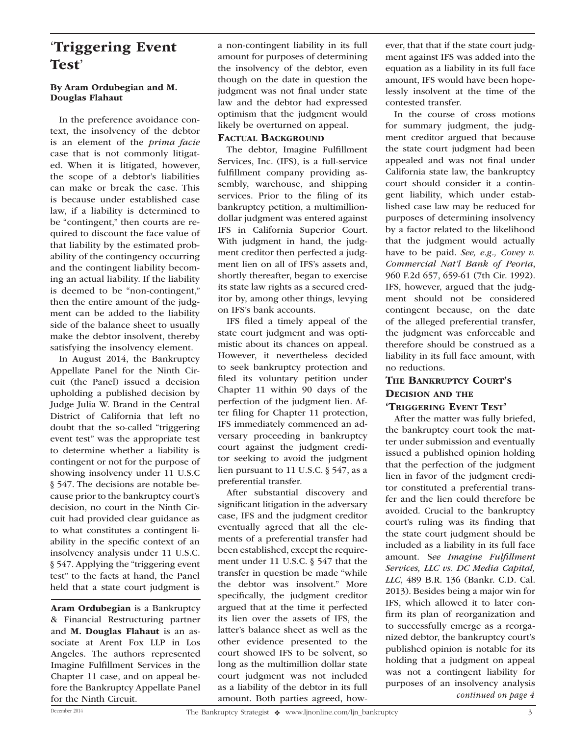### 'Triggering Event Test'

#### By Aram Ordubegian and M. Douglas Flahaut

In the preference avoidance context, the insolvency of the debtor is an element of the *prima facie* case that is not commonly litigated. When it is litigated, however, the scope of a debtor's liabilities can make or break the case. This is because under established case law, if a liability is determined to be "contingent," then courts are required to discount the face value of that liability by the estimated probability of the contingency occurring and the contingent liability becoming an actual liability. If the liability is deemed to be "non-contingent," then the entire amount of the judgment can be added to the liability side of the balance sheet to usually make the debtor insolvent, thereby satisfying the insolvency element.

In August 2014, the Bankruptcy Appellate Panel for the Ninth Circuit (the Panel) issued a decision upholding a published decision by Judge Julia W. Brand in the Central District of California that left no doubt that the so-called "triggering event test" was the appropriate test to determine whether a liability is contingent or not for the purpose of showing insolvency under 11 U.S.C § 547. The decisions are notable because prior to the bankruptcy court's decision, no court in the Ninth Circuit had provided clear guidance as to what constitutes a contingent liability in the specific context of an insolvency analysis under 11 U.S.C. § 547. Applying the "triggering event test" to the facts at hand, the Panel held that a state court judgment is

Aram Ordubegian is a Bankruptcy & Financial Restructuring partner and M. Douglas Flahaut is an associate at Arent Fox LLP in Los Angeles. The authors represented Imagine Fulfillment Services in the Chapter 11 case, and on appeal before the Bankruptcy Appellate Panel for the Ninth Circuit.

a non-contingent liability in its full amount for purposes of determining the insolvency of the debtor, even though on the date in question the judgment was not final under state law and the debtor had expressed optimism that the judgment would likely be overturned on appeal.

### FACTUAL BACKGROUND

The debtor, Imagine Fulfillment Services, Inc. (IFS), is a full-service fulfillment company providing assembly, warehouse, and shipping services. Prior to the filing of its bankruptcy petition, a multimilliondollar judgment was entered against IFS in California Superior Court. With judgment in hand, the judgment creditor then perfected a judgment lien on all of IFS's assets and, shortly thereafter, began to exercise its state law rights as a secured creditor by, among other things, levying on IFS's bank accounts.

IFS filed a timely appeal of the state court judgment and was optimistic about its chances on appeal. However, it nevertheless decided to seek bankruptcy protection and filed its voluntary petition under Chapter 11 within 90 days of the perfection of the judgment lien. After filing for Chapter 11 protection, IFS immediately commenced an adversary proceeding in bankruptcy court against the judgment creditor seeking to avoid the judgment lien pursuant to 11 U.S.C. § 547, as a preferential transfer.

After substantial discovery and significant litigation in the adversary case, IFS and the judgment creditor eventually agreed that all the elements of a preferential transfer had been established, except the requirement under 11 U.S.C. § 547 that the transfer in question be made "while the debtor was insolvent." More specifically, the judgment creditor argued that at the time it perfected its lien over the assets of IFS, the latter's balance sheet as well as the other evidence presented to the court showed IFS to be solvent, so long as the multimillion dollar state court judgment was not included as a liability of the debtor in its full amount. Both parties agreed, however, that that if the state court judgment against IFS was added into the equation as a liability in its full face amount, IFS would have been hopelessly insolvent at the time of the contested transfer.

In the course of cross motions for summary judgment, the judgment creditor argued that because the state court judgment had been appealed and was not final under California state law, the bankruptcy court should consider it a contingent liability, which under established case law may be reduced for purposes of determining insolvency by a factor related to the likelihood that the judgment would actually have to be paid. *See, e.g., Covey v. Commercial Nat'l Bank of Peoria*, 960 F.2d 657, 659-61 (7th Cir. 1992). IFS, however, argued that the judgment should not be considered contingent because, on the date of the alleged preferential transfer, the judgment was enforceable and therefore should be construed as a liability in its full face amount, with no reductions.

### The Bankruptcy Court's Decision and the

### 'Triggering Event Test'

After the matter was fully briefed, the bankruptcy court took the matter under submission and eventually issued a published opinion holding that the perfection of the judgment lien in favor of the judgment creditor constituted a preferential transfer and the lien could therefore be avoided. Crucial to the bankruptcy court's ruling was its finding that the state court judgment should be included as a liability in its full face amount. S*ee Imagine Fulfillment Services, LLC vs. DC Media Capital, LLC*, 489 B.R. 136 (Bankr. C.D. Cal. 2013). Besides being a major win for IFS, which allowed it to later confirm its plan of reorganization and to successfully emerge as a reorganized debtor, the bankruptcy court's published opinion is notable for its holding that a judgment on appeal was not a contingent liability for purposes of an insolvency analysis *continued on page 4*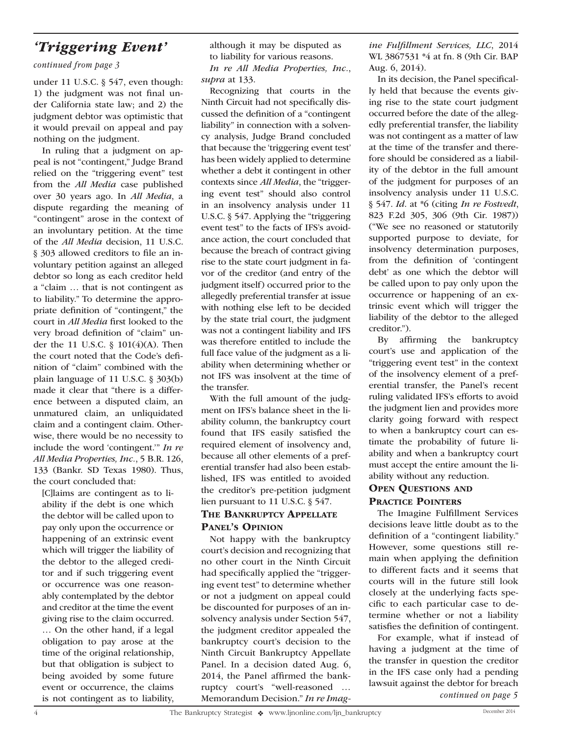## *'Triggering Event'*

*continued from page 3*

under 11 U.S.C. § 547, even though: 1) the judgment was not final under California state law; and 2) the judgment debtor was optimistic that it would prevail on appeal and pay nothing on the judgment.

In ruling that a judgment on appeal is not "contingent," Judge Brand relied on the "triggering event" test from the *All Media* case published over 30 years ago. In *All Media*, a dispute regarding the meaning of "contingent" arose in the context of an involuntary petition. At the time of the *All Media* decision, 11 U.S.C. § 303 allowed creditors to file an involuntary petition against an alleged debtor so long as each creditor held a "claim … that is not contingent as to liability." To determine the appropriate definition of "contingent," the court in *All Media* first looked to the very broad definition of "claim" under the 11 U.S.C. § 101(4)(A). Then the court noted that the Code's definition of "claim" combined with the plain language of 11 U.S.C. § 303(b) made it clear that "there is a difference between a disputed claim, an unmatured claim, an unliquidated claim and a contingent claim. Otherwise, there would be no necessity to include the word 'contingent.'" *In re All Media Properties, Inc.*, 5 B.R. 126, 133 (Bankr. SD Texas 1980). Thus, the court concluded that:

[C]laims are contingent as to liability if the debt is one which the debtor will be called upon to pay only upon the occurrence or happening of an extrinsic event which will trigger the liability of the debtor to the alleged creditor and if such triggering event or occurrence was one reasonably contemplated by the debtor and creditor at the time the event giving rise to the claim occurred. … On the other hand, if a legal obligation to pay arose at the time of the original relationship, but that obligation is subject to being avoided by some future event or occurrence, the claims is not contingent as to liability,

although it may be disputed as to liability for various reasons. *In re All Media Properties, Inc.*, *supra* at 133.

Recognizing that courts in the Ninth Circuit had not specifically discussed the definition of a "contingent liability" in connection with a solvency analysis, Judge Brand concluded that because the 'triggering event test' has been widely applied to determine whether a debt it contingent in other contexts since *All Media*, the "triggering event test" should also control in an insolvency analysis under 11 U.S.C. § 547. Applying the "triggering event test" to the facts of IFS's avoidance action, the court concluded that because the breach of contract giving rise to the state court judgment in favor of the creditor (and entry of the judgment itself) occurred prior to the allegedly preferential transfer at issue with nothing else left to be decided by the state trial court, the judgment was not a contingent liability and IFS was therefore entitled to include the full face value of the judgment as a liability when determining whether or not IFS was insolvent at the time of the transfer.

With the full amount of the judgment on IFS's balance sheet in the liability column, the bankruptcy court found that IFS easily satisfied the required element of insolvency and, because all other elements of a preferential transfer had also been established, IFS was entitled to avoided the creditor's pre-petition judgment lien pursuant to 11 U.S.C. § 547.

### THE BANKRUPTCY APPELLATE Panel's Opinion

Not happy with the bankruptcy court's decision and recognizing that no other court in the Ninth Circuit had specifically applied the "triggering event test" to determine whether or not a judgment on appeal could be discounted for purposes of an insolvency analysis under Section 547, the judgment creditor appealed the bankruptcy court's decision to the Ninth Circuit Bankruptcy Appellate Panel. In a decision dated Aug. 6, 2014, the Panel affirmed the bankruptcy court's "well-reasoned … Memorandum Decision." *In re Imag-* *ine Fulfillment Services, LLC*, 2014 WL 3867531 \*4 at fn. 8 (9th Cir. BAP Aug. 6, 2014).

In its decision, the Panel specifically held that because the events giving rise to the state court judgment occurred before the date of the allegedly preferential transfer, the liability was not contingent as a matter of law at the time of the transfer and therefore should be considered as a liability of the debtor in the full amount of the judgment for purposes of an insolvency analysis under 11 U.S.C. § 547. *Id*. at \*6 (citing *In re Fostvedt*, 823 F.2d 305, 306 (9th Cir. 1987)) ("We see no reasoned or statutorily supported purpose to deviate, for insolvency determination purposes, from the definition of 'contingent debt' as one which the debtor will be called upon to pay only upon the occurrence or happening of an extrinsic event which will trigger the liability of the debtor to the alleged creditor.").

By affirming the bankruptcy court's use and application of the "triggering event test" in the context of the insolvency element of a preferential transfer, the Panel's recent ruling validated IFS's efforts to avoid the judgment lien and provides more clarity going forward with respect to when a bankruptcy court can estimate the probability of future liability and when a bankruptcy court must accept the entire amount the liability without any reduction.

### OPEN QUESTIONS AND PRACTICE POINTERS

The Imagine Fulfillment Services decisions leave little doubt as to the definition of a "contingent liability." However, some questions still remain when applying the definition to different facts and it seems that courts will in the future still look closely at the underlying facts specific to each particular case to determine whether or not a liability satisfies the definition of contingent.

For example, what if instead of having a judgment at the time of the transfer in question the creditor in the IFS case only had a pending lawsuit against the debtor for breach *continued on page 5*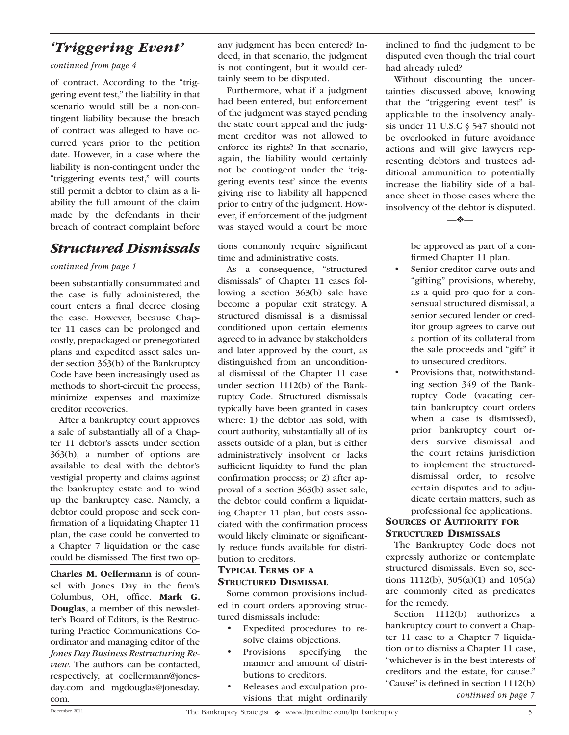## *'Triggering Event'*

### *continued from page 4*

of contract. According to the "triggering event test," the liability in that scenario would still be a non-contingent liability because the breach of contract was alleged to have occurred years prior to the petition date. However, in a case where the liability is non-contingent under the "triggering events test," will courts still permit a debtor to claim as a liability the full amount of the claim made by the defendants in their breach of contract complaint before

### *Structured Dismissals*

### *continued from page 1*

been substantially consummated and the case is fully administered, the court enters a final decree closing the case. However, because Chapter 11 cases can be prolonged and costly, prepackaged or prenegotiated plans and expedited asset sales under section 363(b) of the Bankruptcy Code have been increasingly used as methods to short-circuit the process, minimize expenses and maximize creditor recoveries.

After a bankruptcy court approves a sale of substantially all of a Chapter 11 debtor's assets under section 363(b), a number of options are available to deal with the debtor's vestigial property and claims against the bankruptcy estate and to wind up the bankruptcy case. Namely, a debtor could propose and seek confirmation of a liquidating Chapter 11 plan, the case could be converted to a Chapter 7 liquidation or the case could be dismissed. The first two op-

Charles M. Oellermann is of counsel with Jones Day in the firm's Columbus, OH, office. Mark G. Douglas, a member of this newsletter's Board of Editors, is the Restructuring Practice Communications Coordinator and managing editor of the *Jones Day Business Restructuring Review*. The authors can be contacted, respectively, at coellermann@jonesday.com and mgdouglas@jonesday. com.

any judgment has been entered? Indeed, in that scenario, the judgment is not contingent, but it would certainly seem to be disputed.

Furthermore, what if a judgment had been entered, but enforcement of the judgment was stayed pending the state court appeal and the judgment creditor was not allowed to enforce its rights? In that scenario, again, the liability would certainly not be contingent under the 'triggering events test' since the events giving rise to liability all happened prior to entry of the judgment. However, if enforcement of the judgment was stayed would a court be more

tions commonly require significant time and administrative costs.

As a consequence, "structured dismissals" of Chapter 11 cases following a section 363(b) sale have become a popular exit strategy. A structured dismissal is a dismissal conditioned upon certain elements agreed to in advance by stakeholders and later approved by the court, as distinguished from an unconditional dismissal of the Chapter 11 case under section 1112(b) of the Bankruptcy Code. Structured dismissals typically have been granted in cases where: 1) the debtor has sold, with court authority, substantially all of its assets outside of a plan, but is either administratively insolvent or lacks sufficient liquidity to fund the plan confirmation process; or 2) after approval of a section 363(b) asset sale, the debtor could confirm a liquidating Chapter 11 plan, but costs associated with the confirmation process would likely eliminate or significantly reduce funds available for distribution to creditors.

### Typical Terms of a STRUCTURED DISMISSAL

Some common provisions included in court orders approving structured dismissals include:

- Expedited procedures to resolve claims objections.
- Provisions specifying the manner and amount of distributions to creditors.
- Releases and exculpation provisions that might ordinarily

inclined to find the judgment to be disputed even though the trial court had already ruled?

Without discounting the uncertainties discussed above, knowing that the "triggering event test" is applicable to the insolvency analysis under 11 U.S.C § 547 should not be overlooked in future avoidance actions and will give lawyers representing debtors and trustees additional ammunition to potentially increase the liability side of a balance sheet in those cases where the insolvency of the debtor is disputed.

—❖—

be approved as part of a confirmed Chapter 11 plan.

- Senior creditor carve outs and "gifting" provisions, whereby, as a quid pro quo for a consensual structured dismissal, a senior secured lender or creditor group agrees to carve out a portion of its collateral from the sale proceeds and "gift" it to unsecured creditors.
- Provisions that, notwithstanding section 349 of the Bankruptcy Code (vacating certain bankruptcy court orders when a case is dismissed), prior bankruptcy court orders survive dismissal and the court retains jurisdiction to implement the structureddismissal order, to resolve certain disputes and to adjudicate certain matters, such as professional fee applications.

### SOURCES OF AUTHORITY FOR STRUCTURED DISMISSALS

The Bankruptcy Code does not expressly authorize or contemplate structured dismissals. Even so, sections 1112(b), 305(a)(1) and 105(a) are commonly cited as predicates for the remedy.

Section 1112(b) authorizes a bankruptcy court to convert a Chapter 11 case to a Chapter 7 liquidation or to dismiss a Chapter 11 case, "whichever is in the best interests of creditors and the estate, for cause." "Cause" is defined in section 1112(b) *continued on page 7*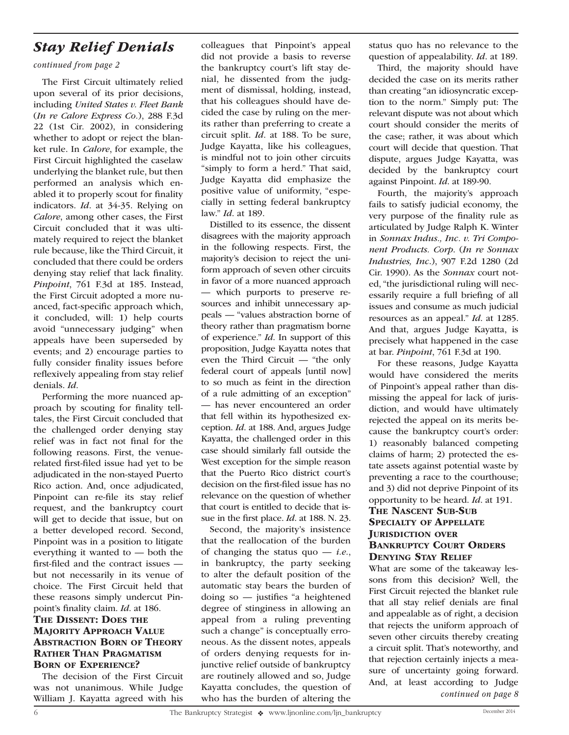## *Stay Relief Denials*

#### *continued from page 2*

The First Circuit ultimately relied upon several of its prior decisions, including *United States v. Fleet Bank* (*In re Calore Express Co.*), 288 F.3d 22 (1st Cir. 2002), in considering whether to adopt or reject the blanket rule. In *Calore*, for example, the First Circuit highlighted the caselaw underlying the blanket rule, but then performed an analysis which enabled it to properly scout for finality indicators. *Id*. at 34-35. Relying on *Calore*, among other cases, the First Circuit concluded that it was ultimately required to reject the blanket rule because, like the Third Circuit, it concluded that there could be orders denying stay relief that lack finality. *Pinpoint*, 761 F.3d at 185. Instead, the First Circuit adopted a more nuanced, fact-specific approach which, it concluded, will: 1) help courts avoid "unnecessary judging" when appeals have been superseded by events; and 2) encourage parties to fully consider finality issues before reflexively appealing from stay relief denials. *Id*.

Performing the more nuanced approach by scouting for finality telltales, the First Circuit concluded that the challenged order denying stay relief was in fact not final for the following reasons. First, the venuerelated first-filed issue had yet to be adjudicated in the non-stayed Puerto Rico action. And, once adjudicated, Pinpoint can re-file its stay relief request, and the bankruptcy court will get to decide that issue, but on a better developed record. Second, Pinpoint was in a position to litigate everything it wanted to — both the first-filed and the contract issues but not necessarily in its venue of choice. The First Circuit held that these reasons simply undercut Pinpoint's finality claim. *Id*. at 186. The Dissent: Does the **MAJORITY APPROACH VALUE ABSTRACTION BORN OF THEORY** Rather Than Pragmatism Born of Experience?

The decision of the First Circuit was not unanimous. While Judge William J. Kayatta agreed with his

colleagues that Pinpoint's appeal did not provide a basis to reverse the bankruptcy court's lift stay denial, he dissented from the judgment of dismissal, holding, instead, that his colleagues should have decided the case by ruling on the merits rather than preferring to create a circuit split. *Id*. at 188. To be sure, Judge Kayatta, like his colleagues, is mindful not to join other circuits "simply to form a herd." That said, Judge Kayatta did emphasize the positive value of uniformity, "especially in setting federal bankruptcy law." *Id*. at 189.

Distilled to its essence, the dissent disagrees with the majority approach in the following respects. First, the majority's decision to reject the uniform approach of seven other circuits in favor of a more nuanced approach — which purports to preserve resources and inhibit unnecessary appeals — "values abstraction borne of theory rather than pragmatism borne of experience." *Id*. In support of this proposition, Judge Kayatta notes that even the Third Circuit — "the only federal court of appeals [until now] to so much as feint in the direction of a rule admitting of an exception" — has never encountered an order that fell within its hypothesized exception. *Id*. at 188. And, argues Judge Kayatta, the challenged order in this case should similarly fall outside the West exception for the simple reason that the Puerto Rico district court's decision on the first-filed issue has no relevance on the question of whether that court is entitled to decide that issue in the first place. *Id*. at 188. N. 23.

Second, the majority's insistence that the reallocation of the burden of changing the status quo — *i.e.*, in bankruptcy, the party seeking to alter the default position of the automatic stay bears the burden of doing so — justifies "a heightened degree of stinginess in allowing an appeal from a ruling preventing such a change" is conceptually erroneous. As the dissent notes, appeals of orders denying requests for injunctive relief outside of bankruptcy are routinely allowed and so, Judge Kayatta concludes, the question of who has the burden of altering the

status quo has no relevance to the question of appealability. *Id*. at 189.

Third, the majority should have decided the case on its merits rather than creating "an idiosyncratic exception to the norm." Simply put: The relevant dispute was not about which court should consider the merits of the case; rather, it was about which court will decide that question. That dispute, argues Judge Kayatta, was decided by the bankruptcy court against Pinpoint. *Id*. at 189-90.

Fourth, the majority's approach fails to satisfy judicial economy, the very purpose of the finality rule as articulated by Judge Ralph K. Winter in *Sonnax Indus., Inc. v. Tri Component Products. Corp*. (*In re Sonnax Industries, Inc*.), 907 F.2d 1280 (2d Cir. 1990). As the *Sonnax* court noted, "the jurisdictional ruling will necessarily require a full briefing of all issues and consume as much judicial resources as an appeal." *Id*. at 1285. And that, argues Judge Kayatta, is precisely what happened in the case at bar. *Pinpoint*, 761 F.3d at 190.

For these reasons, Judge Kayatta would have considered the merits of Pinpoint's appeal rather than dismissing the appeal for lack of jurisdiction, and would have ultimately rejected the appeal on its merits because the bankruptcy court's order: 1) reasonably balanced competing claims of harm; 2) protected the estate assets against potential waste by preventing a race to the courthouse; and 3) did not deprive Pinpoint of its opportunity to be heard. *Id*. at 191.

### The Nascent Sub-Sub SPECIALTY OF APPELLATE **JURISDICTION OVER** Bankruptcy Court Orders Denying Stay Relief

What are some of the takeaway lessons from this decision? Well, the First Circuit rejected the blanket rule that all stay relief denials are final and appealable as of right, a decision that rejects the uniform approach of seven other circuits thereby creating a circuit split. That's noteworthy, and that rejection certainly injects a measure of uncertainty going forward. And, at least according to Judge *continued on page 8*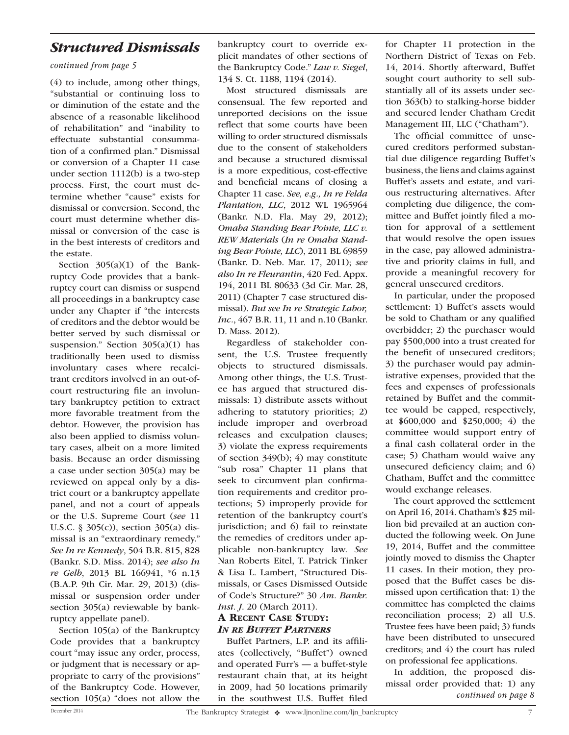### *Structured Dismissals*

*continued from page 5*

(4) to include, among other things, "substantial or continuing loss to or diminution of the estate and the absence of a reasonable likelihood of rehabilitation" and "inability to effectuate substantial consummation of a confirmed plan." Dismissal or conversion of a Chapter 11 case under section 1112(b) is a two-step process. First, the court must determine whether "cause" exists for dismissal or conversion. Second, the court must determine whether dismissal or conversion of the case is in the best interests of creditors and the estate.

Section  $305(a)(1)$  of the Bankruptcy Code provides that a bankruptcy court can dismiss or suspend all proceedings in a bankruptcy case under any Chapter if "the interests of creditors and the debtor would be better served by such dismissal or suspension." Section  $305(a)(1)$  has traditionally been used to dismiss involuntary cases where recalcitrant creditors involved in an out-ofcourt restructuring file an involuntary bankruptcy petition to extract more favorable treatment from the debtor. However, the provision has also been applied to dismiss voluntary cases, albeit on a more limited basis. Because an order dismissing a case under section 305(a) may be reviewed on appeal only by a district court or a bankruptcy appellate panel, and not a court of appeals or the U.S. Supreme Court (*see* 11 U.S.C. § 305(c)), section 305(a) dismissal is an "extraordinary remedy." *See In re Kennedy*, 504 B.R. 815, 828 (Bankr. S.D. Miss. 2014); *see also In re Gelb*, 2013 BL 166941, \*6 n.13 (B.A.P. 9th Cir. Mar. 29, 2013) (dismissal or suspension order under section 305(a) reviewable by bankruptcy appellate panel).

Section 105(a) of the Bankruptcy Code provides that a bankruptcy court "may issue any order, process, or judgment that is necessary or appropriate to carry of the provisions" of the Bankruptcy Code. However, section 105(a) "does not allow the bankruptcy court to override explicit mandates of other sections of the Bankruptcy Code." *Law v. Siegel*, 134 S. Ct. 1188, 1194 (2014).

Most structured dismissals are consensual. The few reported and unreported decisions on the issue reflect that some courts have been willing to order structured dismissals due to the consent of stakeholders and because a structured dismissal is a more expeditious, cost-effective and beneficial means of closing a Chapter 11 case. *See, e.g., In re Felda Plantation, LLC*, 2012 WL 1965964 (Bankr. N.D. Fla. May 29, 2012); *Omaha Standing Bear Pointe, LLC v. REW Materials* (*In re Omaha Standing Bear Pointe, LLC*), 2011 BL 69859 (Bankr. D. Neb. Mar. 17, 2011); *see also In re Fleurantin*, 420 Fed. Appx. 194, 2011 BL 80633 (3d Cir. Mar. 28, 2011) (Chapter 7 case structured dismissal). *But see In re Strategic Labor, Inc.*, 467 B.R. 11, 11 and n.10 (Bankr. D. Mass. 2012).

Regardless of stakeholder consent, the U.S. Trustee frequently objects to structured dismissals. Among other things, the U.S. Trustee has argued that structured dismissals: 1) distribute assets without adhering to statutory priorities; 2) include improper and overbroad releases and exculpation clauses; 3) violate the express requirements of section 349(b); 4) may constitute "sub rosa" Chapter 11 plans that seek to circumvent plan confirmation requirements and creditor protections; 5) improperly provide for retention of the bankruptcy court's jurisdiction; and 6) fail to reinstate the remedies of creditors under applicable non-bankruptcy law. *See* Nan Roberts Eitel, T. Patrick Tinker & Lisa L. Lambert, "Structured Dismissals, or Cases Dismissed Outside of Code's Structure?" 30 *Am. Bankr. Inst. J*. 20 (March 2011).

### A Recent Case Study: *In re Buffet Partners*

Buffet Partners, L.P. and its affiliates (collectively, "Buffet") owned and operated Furr's — a buffet-style restaurant chain that, at its height in 2009, had 50 locations primarily in the southwest U.S. Buffet filed for Chapter 11 protection in the Northern District of Texas on Feb. 14, 2014. Shortly afterward, Buffet sought court authority to sell substantially all of its assets under section 363(b) to stalking-horse bidder and secured lender Chatham Credit Management III, LLC ("Chatham").

The official committee of unsecured creditors performed substantial due diligence regarding Buffet's business, the liens and claims against Buffet's assets and estate, and various restructuring alternatives. After completing due diligence, the committee and Buffet jointly filed a motion for approval of a settlement that would resolve the open issues in the case, pay allowed administrative and priority claims in full, and provide a meaningful recovery for general unsecured creditors.

In particular, under the proposed settlement: 1) Buffet's assets would be sold to Chatham or any qualified overbidder; 2) the purchaser would pay \$500,000 into a trust created for the benefit of unsecured creditors; 3) the purchaser would pay administrative expenses, provided that the fees and expenses of professionals retained by Buffet and the committee would be capped, respectively, at \$600,000 and \$250,000; 4) the committee would support entry of a final cash collateral order in the case; 5) Chatham would waive any unsecured deficiency claim; and 6) Chatham, Buffet and the committee would exchange releases.

The court approved the settlement on April 16, 2014. Chatham's \$25 million bid prevailed at an auction conducted the following week. On June 19, 2014, Buffet and the committee jointly moved to dismiss the Chapter 11 cases. In their motion, they proposed that the Buffet cases be dismissed upon certification that: 1) the committee has completed the claims reconciliation process; 2) all U.S. Trustee fees have been paid; 3) funds have been distributed to unsecured creditors; and 4) the court has ruled on professional fee applications.

In addition, the proposed dismissal order provided that: 1) any *continued on page 8*